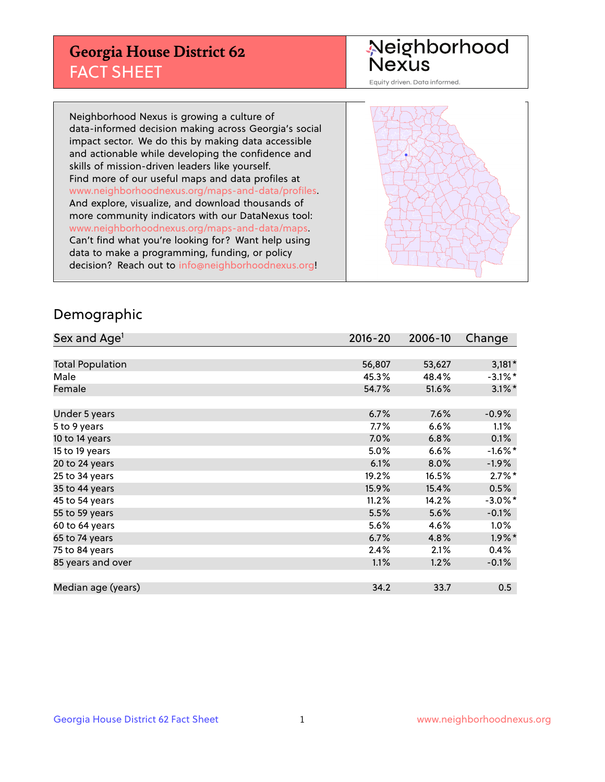## **Georgia House District 62** FACT SHEET

# Neighborhood<br>Nexus

Equity driven. Data informed.

Neighborhood Nexus is growing a culture of data-informed decision making across Georgia's social impact sector. We do this by making data accessible and actionable while developing the confidence and skills of mission-driven leaders like yourself. Find more of our useful maps and data profiles at www.neighborhoodnexus.org/maps-and-data/profiles. And explore, visualize, and download thousands of more community indicators with our DataNexus tool: www.neighborhoodnexus.org/maps-and-data/maps. Can't find what you're looking for? Want help using data to make a programming, funding, or policy decision? Reach out to [info@neighborhoodnexus.org!](mailto:info@neighborhoodnexus.org)



### Demographic

| Sex and Age <sup>1</sup> | $2016 - 20$ | 2006-10 | Change     |
|--------------------------|-------------|---------|------------|
|                          |             |         |            |
| <b>Total Population</b>  | 56,807      | 53,627  | $3,181*$   |
| Male                     | 45.3%       | 48.4%   | $-3.1\%$ * |
| Female                   | 54.7%       | 51.6%   | $3.1\%$ *  |
|                          |             |         |            |
| Under 5 years            | 6.7%        | 7.6%    | $-0.9%$    |
| 5 to 9 years             | $7.7\%$     | 6.6%    | $1.1\%$    |
| 10 to 14 years           | 7.0%        | 6.8%    | 0.1%       |
| 15 to 19 years           | 5.0%        | 6.6%    | $-1.6%$ *  |
| 20 to 24 years           | 6.1%        | 8.0%    | $-1.9\%$   |
| 25 to 34 years           | 19.2%       | 16.5%   | $2.7\%$ *  |
| 35 to 44 years           | 15.9%       | 15.4%   | 0.5%       |
| 45 to 54 years           | 11.2%       | 14.2%   | $-3.0\%$ * |
| 55 to 59 years           | 5.5%        | 5.6%    | $-0.1%$    |
| 60 to 64 years           | 5.6%        | 4.6%    | $1.0\%$    |
| 65 to 74 years           | 6.7%        | 4.8%    | $1.9\%$ *  |
| 75 to 84 years           | 2.4%        | 2.1%    | 0.4%       |
| 85 years and over        | 1.1%        | 1.2%    | $-0.1\%$   |
|                          |             |         |            |
| Median age (years)       | 34.2        | 33.7    | 0.5        |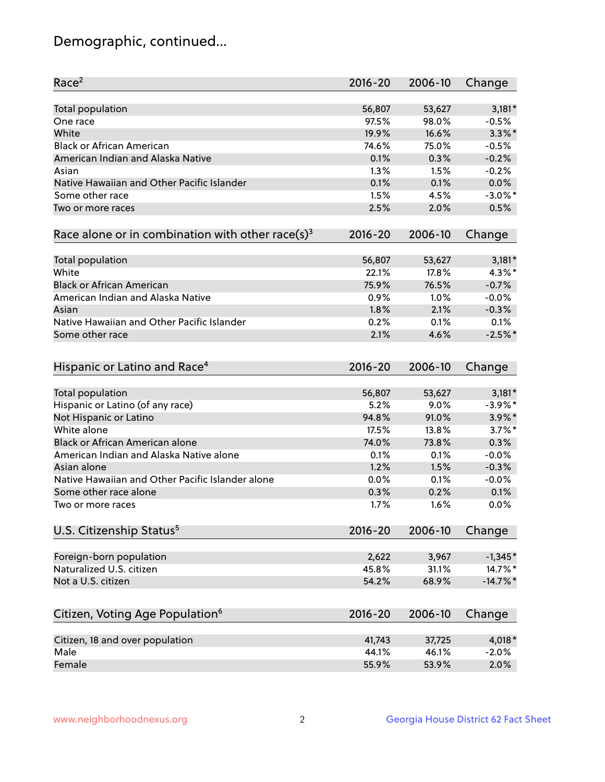## Demographic, continued...

| Race <sup>2</sup>                                            | $2016 - 20$ | 2006-10 | Change      |
|--------------------------------------------------------------|-------------|---------|-------------|
| <b>Total population</b>                                      | 56,807      | 53,627  | $3,181*$    |
| One race                                                     | 97.5%       | 98.0%   | $-0.5%$     |
| White                                                        | 19.9%       | 16.6%   | $3.3\%$ *   |
| <b>Black or African American</b>                             | 74.6%       | 75.0%   | $-0.5%$     |
| American Indian and Alaska Native                            | 0.1%        | 0.3%    | $-0.2%$     |
| Asian                                                        | 1.3%        | 1.5%    | $-0.2%$     |
| Native Hawaiian and Other Pacific Islander                   | 0.1%        | 0.1%    | 0.0%        |
| Some other race                                              | 1.5%        | 4.5%    | $-3.0\%$ *  |
| Two or more races                                            | 2.5%        | 2.0%    | 0.5%        |
| Race alone or in combination with other race(s) <sup>3</sup> | $2016 - 20$ | 2006-10 | Change      |
| Total population                                             | 56,807      | 53,627  | $3,181*$    |
| White                                                        | 22.1%       | 17.8%   | 4.3%*       |
| <b>Black or African American</b>                             | 75.9%       | 76.5%   | $-0.7%$     |
| American Indian and Alaska Native                            | 0.9%        | 1.0%    | $-0.0%$     |
| Asian                                                        | 1.8%        | 2.1%    | $-0.3%$     |
| Native Hawaiian and Other Pacific Islander                   | 0.2%        | 0.1%    | 0.1%        |
| Some other race                                              | 2.1%        | 4.6%    | $-2.5%$ *   |
|                                                              |             |         |             |
| Hispanic or Latino and Race <sup>4</sup>                     | $2016 - 20$ | 2006-10 | Change      |
| <b>Total population</b>                                      | 56,807      | 53,627  | $3,181*$    |
| Hispanic or Latino (of any race)                             | 5.2%        | 9.0%    | $-3.9\%$ *  |
| Not Hispanic or Latino                                       | 94.8%       | 91.0%   | $3.9\%$ *   |
| White alone                                                  | 17.5%       | 13.8%   | $3.7\%$ *   |
| <b>Black or African American alone</b>                       | 74.0%       | 73.8%   | 0.3%        |
| American Indian and Alaska Native alone                      | 0.1%        | 0.1%    | $-0.0%$     |
| Asian alone                                                  | 1.2%        | 1.5%    | $-0.3%$     |
| Native Hawaiian and Other Pacific Islander alone             | 0.0%        | 0.1%    | $-0.0%$     |
| Some other race alone                                        | 0.3%        | 0.2%    | 0.1%        |
| Two or more races                                            | 1.7%        | 1.6%    | 0.0%        |
| U.S. Citizenship Status <sup>5</sup>                         | $2016 - 20$ | 2006-10 | Change      |
|                                                              |             |         |             |
| Foreign-born population                                      | 2,622       | 3,967   | $-1,345*$   |
| Naturalized U.S. citizen                                     | 45.8%       | 31.1%   | 14.7%*      |
| Not a U.S. citizen                                           | 54.2%       | 68.9%   | $-14.7\%$ * |
| Citizen, Voting Age Population <sup>6</sup>                  | 2016-20     | 2006-10 | Change      |
| Citizen, 18 and over population                              | 41,743      | 37,725  | 4,018*      |
| Male                                                         | 44.1%       | 46.1%   | $-2.0%$     |
| Female                                                       | 55.9%       | 53.9%   | 2.0%        |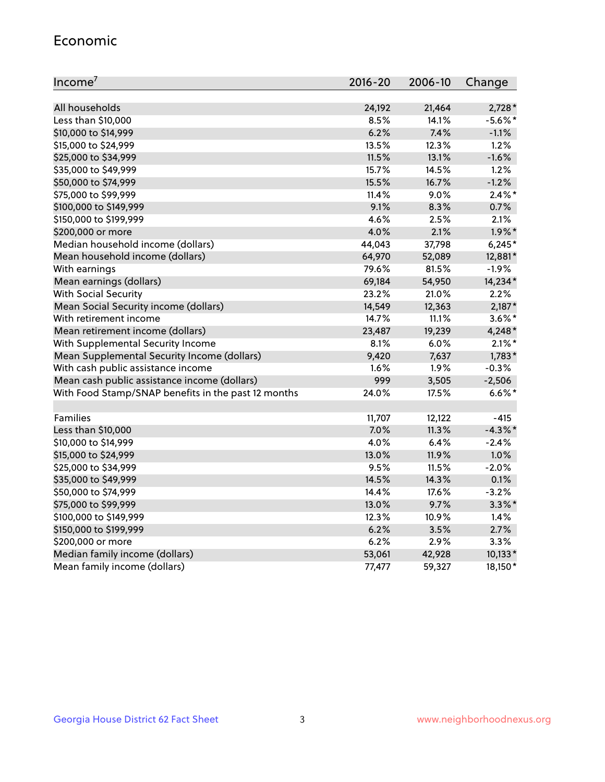#### Economic

| Income <sup>7</sup>                                 | $2016 - 20$ | 2006-10 | Change     |
|-----------------------------------------------------|-------------|---------|------------|
|                                                     |             |         |            |
| All households                                      | 24,192      | 21,464  | $2,728*$   |
| Less than \$10,000                                  | 8.5%        | 14.1%   | $-5.6\%$ * |
| \$10,000 to \$14,999                                | 6.2%        | 7.4%    | $-1.1%$    |
| \$15,000 to \$24,999                                | 13.5%       | 12.3%   | 1.2%       |
| \$25,000 to \$34,999                                | 11.5%       | 13.1%   | $-1.6%$    |
| \$35,000 to \$49,999                                | 15.7%       | 14.5%   | 1.2%       |
| \$50,000 to \$74,999                                | 15.5%       | 16.7%   | $-1.2%$    |
| \$75,000 to \$99,999                                | 11.4%       | 9.0%    | $2.4\%$ *  |
| \$100,000 to \$149,999                              | 9.1%        | 8.3%    | 0.7%       |
| \$150,000 to \$199,999                              | 4.6%        | 2.5%    | 2.1%       |
| \$200,000 or more                                   | 4.0%        | 2.1%    | $1.9\%$ *  |
| Median household income (dollars)                   | 44,043      | 37,798  | $6,245*$   |
| Mean household income (dollars)                     | 64,970      | 52,089  | 12,881*    |
| With earnings                                       | 79.6%       | 81.5%   | $-1.9%$    |
| Mean earnings (dollars)                             | 69,184      | 54,950  | 14,234*    |
| <b>With Social Security</b>                         | 23.2%       | 21.0%   | 2.2%       |
| Mean Social Security income (dollars)               | 14,549      | 12,363  | $2,187*$   |
| With retirement income                              | 14.7%       | 11.1%   | $3.6\%$ *  |
| Mean retirement income (dollars)                    | 23,487      | 19,239  | 4,248*     |
| With Supplemental Security Income                   | 8.1%        | 6.0%    | $2.1\%$ *  |
| Mean Supplemental Security Income (dollars)         | 9,420       | 7,637   | $1,783*$   |
| With cash public assistance income                  | 1.6%        | 1.9%    | $-0.3%$    |
| Mean cash public assistance income (dollars)        | 999         | 3,505   | $-2,506$   |
| With Food Stamp/SNAP benefits in the past 12 months | 24.0%       | 17.5%   | $6.6\%$ *  |
|                                                     |             |         |            |
| Families                                            | 11,707      | 12,122  | $-415$     |
| Less than \$10,000                                  | 7.0%        | 11.3%   | $-4.3\%$ * |
| \$10,000 to \$14,999                                | 4.0%        | 6.4%    | $-2.4%$    |
| \$15,000 to \$24,999                                | 13.0%       | 11.9%   | 1.0%       |
| \$25,000 to \$34,999                                | 9.5%        | 11.5%   | $-2.0%$    |
| \$35,000 to \$49,999                                | 14.5%       | 14.3%   | 0.1%       |
| \$50,000 to \$74,999                                | 14.4%       | 17.6%   | $-3.2%$    |
| \$75,000 to \$99,999                                | 13.0%       | 9.7%    | $3.3\%$ *  |
| \$100,000 to \$149,999                              | 12.3%       | 10.9%   | 1.4%       |
| \$150,000 to \$199,999                              | 6.2%        | 3.5%    | 2.7%       |
| \$200,000 or more                                   | 6.2%        | 2.9%    | 3.3%       |
| Median family income (dollars)                      | 53,061      | 42,928  | $10,133*$  |
| Mean family income (dollars)                        | 77,477      | 59,327  | 18,150*    |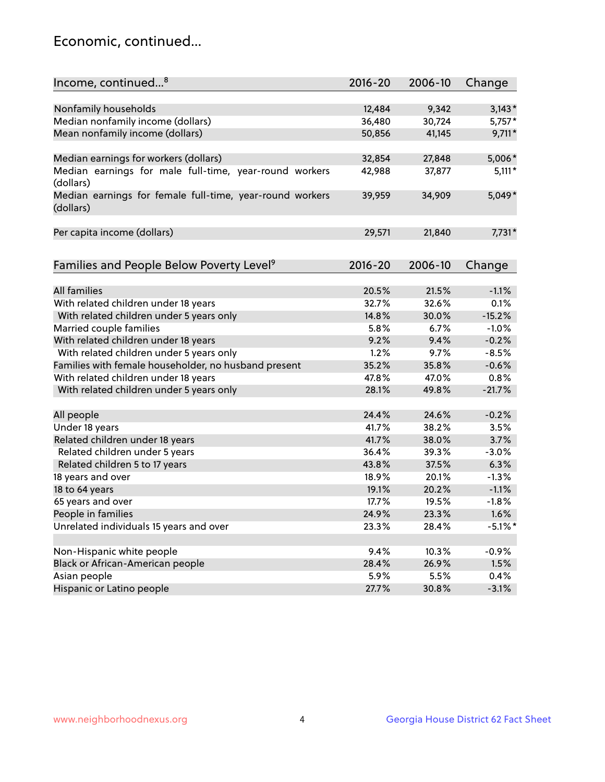## Economic, continued...

| Income, continued <sup>8</sup>                           | $2016 - 20$ | 2006-10 | Change     |
|----------------------------------------------------------|-------------|---------|------------|
|                                                          |             |         |            |
| Nonfamily households                                     | 12,484      | 9,342   | $3,143*$   |
| Median nonfamily income (dollars)                        | 36,480      | 30,724  | 5,757*     |
| Mean nonfamily income (dollars)                          | 50,856      | 41,145  | $9,711*$   |
| Median earnings for workers (dollars)                    | 32,854      | 27,848  | 5,006*     |
| Median earnings for male full-time, year-round workers   | 42,988      | 37,877  | $5,111*$   |
| (dollars)                                                |             |         |            |
| Median earnings for female full-time, year-round workers | 39,959      | 34,909  | 5,049*     |
| (dollars)                                                |             |         |            |
| Per capita income (dollars)                              | 29,571      | 21,840  | $7,731*$   |
|                                                          |             |         |            |
| Families and People Below Poverty Level <sup>9</sup>     | 2016-20     | 2006-10 | Change     |
|                                                          |             |         |            |
| <b>All families</b>                                      | 20.5%       | 21.5%   | $-1.1%$    |
| With related children under 18 years                     | 32.7%       | 32.6%   | 0.1%       |
| With related children under 5 years only                 | 14.8%       | 30.0%   | $-15.2%$   |
| Married couple families                                  | 5.8%        | 6.7%    | $-1.0%$    |
| With related children under 18 years                     | 9.2%        | 9.4%    | $-0.2%$    |
| With related children under 5 years only                 | 1.2%        | 9.7%    | $-8.5%$    |
| Families with female householder, no husband present     | 35.2%       | 35.8%   | $-0.6%$    |
| With related children under 18 years                     | 47.8%       | 47.0%   | 0.8%       |
| With related children under 5 years only                 | 28.1%       | 49.8%   | $-21.7%$   |
| All people                                               | 24.4%       | 24.6%   | $-0.2%$    |
| Under 18 years                                           | 41.7%       | 38.2%   | 3.5%       |
| Related children under 18 years                          | 41.7%       | 38.0%   | 3.7%       |
| Related children under 5 years                           | 36.4%       | 39.3%   | $-3.0%$    |
| Related children 5 to 17 years                           | 43.8%       | 37.5%   | 6.3%       |
| 18 years and over                                        | 18.9%       | 20.1%   | $-1.3%$    |
| 18 to 64 years                                           | 19.1%       | 20.2%   | $-1.1%$    |
| 65 years and over                                        | 17.7%       | 19.5%   | $-1.8%$    |
| People in families                                       | 24.9%       | 23.3%   | 1.6%       |
| Unrelated individuals 15 years and over                  | 23.3%       | 28.4%   | $-5.1\%$ * |
|                                                          |             |         |            |
| Non-Hispanic white people                                | 9.4%        | 10.3%   | $-0.9%$    |
| Black or African-American people                         | 28.4%       | 26.9%   | 1.5%       |
| Asian people                                             | 5.9%        | 5.5%    | 0.4%       |
| Hispanic or Latino people                                | 27.7%       | 30.8%   | $-3.1%$    |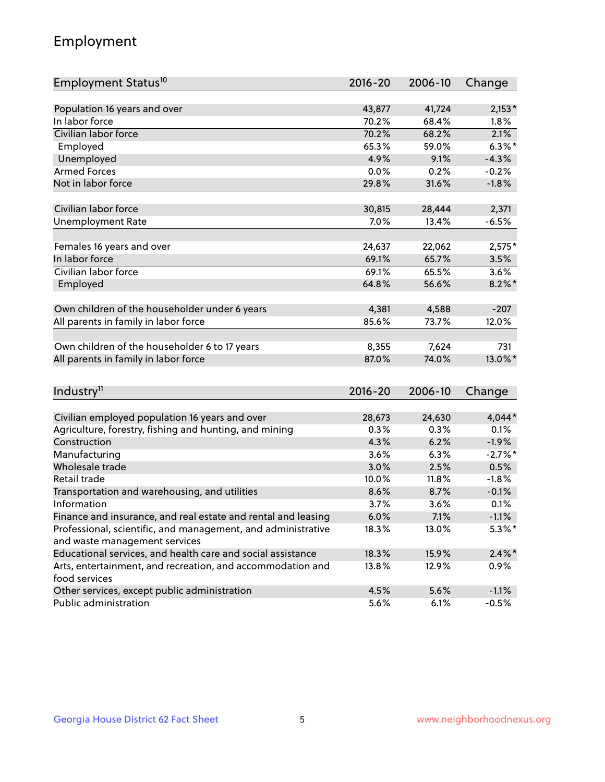## Employment

| Employment Status <sup>10</sup>                                             | $2016 - 20$ | 2006-10 | Change     |
|-----------------------------------------------------------------------------|-------------|---------|------------|
|                                                                             |             |         |            |
| Population 16 years and over                                                | 43,877      | 41,724  | $2,153*$   |
| In labor force                                                              | 70.2%       | 68.4%   | 1.8%       |
| Civilian labor force                                                        | 70.2%       | 68.2%   | 2.1%       |
| Employed                                                                    | 65.3%       | 59.0%   | $6.3\%$ *  |
| Unemployed                                                                  | 4.9%        | 9.1%    | $-4.3%$    |
| <b>Armed Forces</b>                                                         | 0.0%        | 0.2%    | $-0.2%$    |
| Not in labor force                                                          | 29.8%       | 31.6%   | $-1.8%$    |
| Civilian labor force                                                        | 30,815      | 28,444  | 2,371      |
| <b>Unemployment Rate</b>                                                    | 7.0%        | 13.4%   | $-6.5%$    |
|                                                                             |             |         |            |
| Females 16 years and over                                                   | 24,637      | 22,062  | $2,575*$   |
| In labor force                                                              | 69.1%       | 65.7%   | 3.5%       |
| Civilian labor force                                                        | 69.1%       | 65.5%   | 3.6%       |
| Employed                                                                    | 64.8%       | 56.6%   | $8.2\%$ *  |
| Own children of the householder under 6 years                               | 4,381       | 4,588   | $-207$     |
|                                                                             | 85.6%       | 73.7%   | 12.0%      |
| All parents in family in labor force                                        |             |         |            |
| Own children of the householder 6 to 17 years                               | 8,355       | 7,624   | 731        |
| All parents in family in labor force                                        | 87.0%       | 74.0%   | 13.0%*     |
|                                                                             |             |         |            |
| Industry <sup>11</sup>                                                      | $2016 - 20$ | 2006-10 | Change     |
|                                                                             |             |         |            |
| Civilian employed population 16 years and over                              | 28,673      | 24,630  | $4,044*$   |
| Agriculture, forestry, fishing and hunting, and mining                      | 0.3%        | 0.3%    | 0.1%       |
| Construction                                                                | 4.3%        | 6.2%    | $-1.9%$    |
| Manufacturing                                                               | 3.6%        | 6.3%    | $-2.7\%$ * |
| Wholesale trade                                                             | 3.0%        | 2.5%    | 0.5%       |
| Retail trade                                                                | 10.0%       | 11.8%   | $-1.8%$    |
| Transportation and warehousing, and utilities                               | 8.6%        | 8.7%    | $-0.1%$    |
| Information                                                                 | 3.7%        | 3.6%    | 0.1%       |
| Finance and insurance, and real estate and rental and leasing               | 6.0%        | 7.1%    | $-1.1%$    |
| Professional, scientific, and management, and administrative                | 18.3%       | 13.0%   | $5.3\%*$   |
| and waste management services                                               |             |         |            |
| Educational services, and health care and social assistance                 | 18.3%       | 15.9%   | $2.4\%$ *  |
| Arts, entertainment, and recreation, and accommodation and<br>food services | 13.8%       | 12.9%   | 0.9%       |
| Other services, except public administration                                | 4.5%        | 5.6%    | $-1.1%$    |
| Public administration                                                       | 5.6%        | 6.1%    | $-0.5%$    |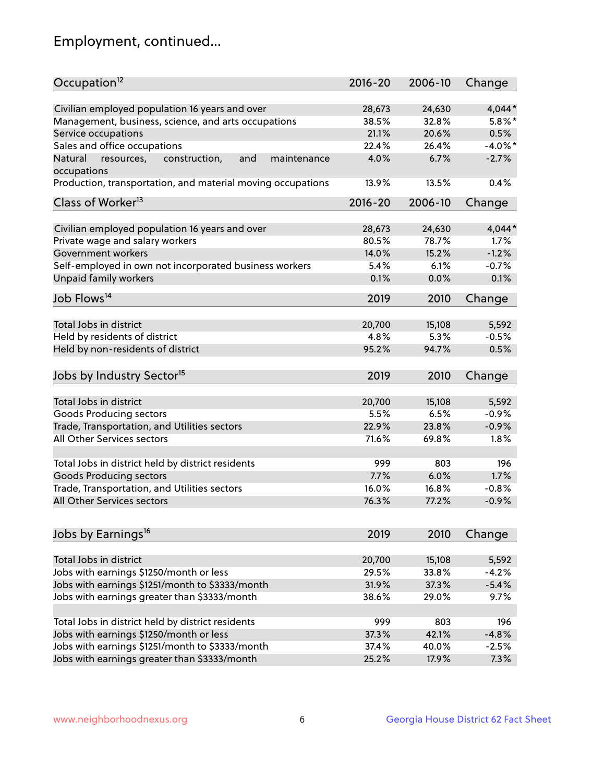## Employment, continued...

| Occupation <sup>12</sup>                                     | $2016 - 20$ | 2006-10 | Change     |
|--------------------------------------------------------------|-------------|---------|------------|
| Civilian employed population 16 years and over               | 28,673      | 24,630  | 4,044*     |
| Management, business, science, and arts occupations          | 38.5%       | 32.8%   | $5.8\%$ *  |
| Service occupations                                          | 21.1%       | 20.6%   | 0.5%       |
| Sales and office occupations                                 | 22.4%       | 26.4%   | $-4.0\%$ * |
| and<br>Natural<br>resources,<br>construction,<br>maintenance | 4.0%        | 6.7%    | $-2.7%$    |
| occupations                                                  |             |         |            |
| Production, transportation, and material moving occupations  | 13.9%       | 13.5%   | 0.4%       |
| Class of Worker <sup>13</sup>                                | $2016 - 20$ | 2006-10 | Change     |
|                                                              |             |         |            |
| Civilian employed population 16 years and over               | 28,673      | 24,630  | $4,044*$   |
| Private wage and salary workers                              | 80.5%       | 78.7%   | 1.7%       |
| Government workers                                           | 14.0%       | 15.2%   | $-1.2%$    |
| Self-employed in own not incorporated business workers       | 5.4%        | 6.1%    | $-0.7%$    |
| Unpaid family workers                                        | 0.1%        | 0.0%    | 0.1%       |
| Job Flows <sup>14</sup>                                      | 2019        | 2010    | Change     |
|                                                              |             |         |            |
| Total Jobs in district                                       | 20,700      | 15,108  | 5,592      |
| Held by residents of district                                | 4.8%        | 5.3%    | $-0.5%$    |
| Held by non-residents of district                            | 95.2%       | 94.7%   | 0.5%       |
| Jobs by Industry Sector <sup>15</sup>                        | 2019        | 2010    | Change     |
|                                                              |             |         |            |
| Total Jobs in district                                       | 20,700      | 15,108  | 5,592      |
| Goods Producing sectors                                      | 5.5%        | 6.5%    | $-0.9%$    |
| Trade, Transportation, and Utilities sectors                 | 22.9%       | 23.8%   | $-0.9%$    |
| All Other Services sectors                                   | 71.6%       | 69.8%   | 1.8%       |
| Total Jobs in district held by district residents            | 999         | 803     | 196        |
| <b>Goods Producing sectors</b>                               | 7.7%        | 6.0%    | 1.7%       |
| Trade, Transportation, and Utilities sectors                 | 16.0%       | 16.8%   | $-0.8%$    |
| All Other Services sectors                                   | 76.3%       | 77.2%   | $-0.9%$    |
|                                                              |             |         |            |
| Jobs by Earnings <sup>16</sup>                               | 2019        | 2010    | Change     |
|                                                              |             |         |            |
| Total Jobs in district                                       | 20,700      | 15,108  | 5,592      |
| Jobs with earnings \$1250/month or less                      | 29.5%       | 33.8%   | $-4.2%$    |
| Jobs with earnings \$1251/month to \$3333/month              | 31.9%       | 37.3%   | $-5.4%$    |
| Jobs with earnings greater than \$3333/month                 | 38.6%       | 29.0%   | 9.7%       |
| Total Jobs in district held by district residents            | 999         | 803     | 196        |
| Jobs with earnings \$1250/month or less                      | 37.3%       | 42.1%   | $-4.8%$    |
| Jobs with earnings \$1251/month to \$3333/month              | 37.4%       | 40.0%   | $-2.5%$    |
| Jobs with earnings greater than \$3333/month                 | 25.2%       | 17.9%   | 7.3%       |
|                                                              |             |         |            |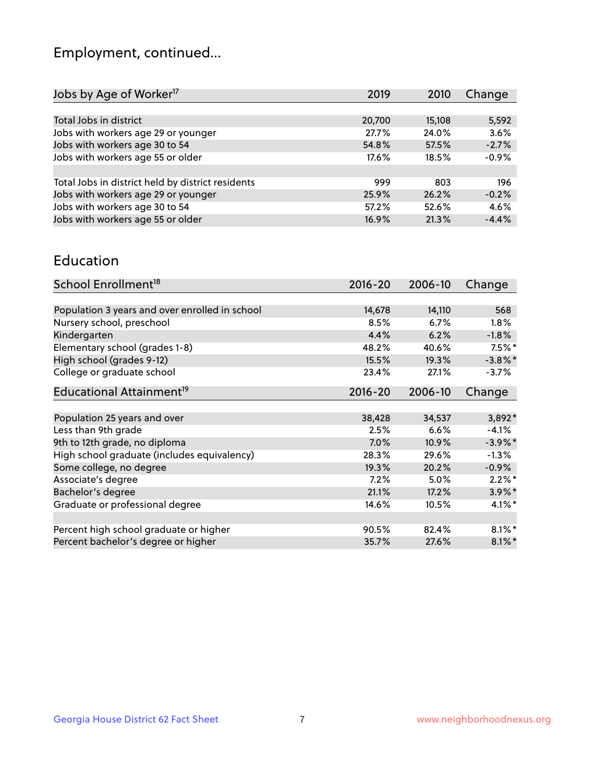## Employment, continued...

| Jobs by Age of Worker <sup>17</sup>               | 2019   | 2010   | Change  |
|---------------------------------------------------|--------|--------|---------|
|                                                   |        |        |         |
| Total Jobs in district                            | 20,700 | 15,108 | 5,592   |
| Jobs with workers age 29 or younger               | 27.7%  | 24.0%  | 3.6%    |
| Jobs with workers age 30 to 54                    | 54.8%  | 57.5%  | $-2.7%$ |
| Jobs with workers age 55 or older                 | 17.6%  | 18.5%  | $-0.9%$ |
|                                                   |        |        |         |
| Total Jobs in district held by district residents | 999    | 803    | 196     |
| Jobs with workers age 29 or younger               | 25.9%  | 26.2%  | $-0.2%$ |
| Jobs with workers age 30 to 54                    | 57.2%  | 52.6%  | 4.6%    |
| Jobs with workers age 55 or older                 | 16.9%  | 21.3%  | $-4.4%$ |

#### Education

| School Enrollment <sup>18</sup>                | $2016 - 20$ | 2006-10 | Change     |
|------------------------------------------------|-------------|---------|------------|
|                                                |             |         |            |
| Population 3 years and over enrolled in school | 14,678      | 14,110  | 568        |
| Nursery school, preschool                      | 8.5%        | 6.7%    | $1.8\%$    |
| Kindergarten                                   | 4.4%        | 6.2%    | $-1.8%$    |
| Elementary school (grades 1-8)                 | 48.2%       | 40.6%   | $7.5\%$ *  |
| High school (grades 9-12)                      | 15.5%       | 19.3%   | $-3.8\%$ * |
| College or graduate school                     | 23.4%       | 27.1%   | $-3.7%$    |
| Educational Attainment <sup>19</sup>           | $2016 - 20$ | 2006-10 | Change     |
|                                                |             |         |            |
| Population 25 years and over                   | 38,428      | 34,537  | 3,892*     |
| Less than 9th grade                            | 2.5%        | 6.6%    | $-4.1%$    |
| 9th to 12th grade, no diploma                  | 7.0%        | 10.9%   | $-3.9\%$ * |
| High school graduate (includes equivalency)    | 28.3%       | 29.6%   | $-1.3\%$   |
| Some college, no degree                        | 19.3%       | 20.2%   | $-0.9%$    |
| Associate's degree                             | 7.2%        | 5.0%    | $2.2\%$ *  |
| Bachelor's degree                              | 21.1%       | 17.2%   | $3.9\%$ *  |
| Graduate or professional degree                | 14.6%       | 10.5%   | $4.1\%$ *  |
|                                                |             |         |            |
| Percent high school graduate or higher         | 90.5%       | 82.4%   | $8.1\%$ *  |
| Percent bachelor's degree or higher            | 35.7%       | 27.6%   | $8.1\%$ *  |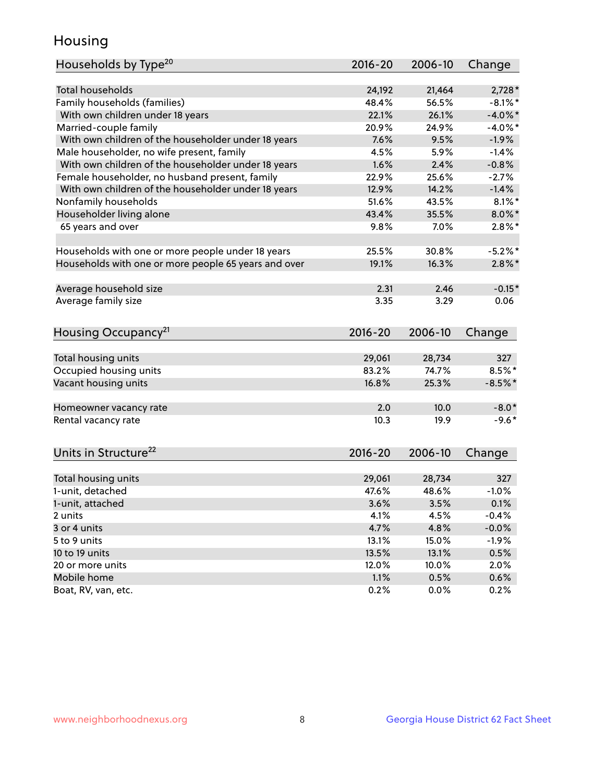## Housing

| Households by Type <sup>20</sup>                     | 2016-20 | 2006-10 | Change     |
|------------------------------------------------------|---------|---------|------------|
|                                                      |         |         |            |
| <b>Total households</b>                              | 24,192  | 21,464  | $2,728*$   |
| Family households (families)                         | 48.4%   | 56.5%   | $-8.1\%$ * |
| With own children under 18 years                     | 22.1%   | 26.1%   | $-4.0\%$ * |
| Married-couple family                                | 20.9%   | 24.9%   | $-4.0\%$ * |
| With own children of the householder under 18 years  | 7.6%    | 9.5%    | $-1.9%$    |
| Male householder, no wife present, family            | 4.5%    | 5.9%    | $-1.4%$    |
| With own children of the householder under 18 years  | 1.6%    | 2.4%    | $-0.8%$    |
| Female householder, no husband present, family       | 22.9%   | 25.6%   | $-2.7%$    |
| With own children of the householder under 18 years  | 12.9%   | 14.2%   | $-1.4%$    |
| Nonfamily households                                 | 51.6%   | 43.5%   | $8.1\%$ *  |
| Householder living alone                             | 43.4%   | 35.5%   | $8.0\%$ *  |
| 65 years and over                                    | 9.8%    | 7.0%    | $2.8\%$ *  |
|                                                      |         |         |            |
| Households with one or more people under 18 years    | 25.5%   | 30.8%   | $-5.2%$    |
| Households with one or more people 65 years and over | 19.1%   | 16.3%   | $2.8\%$ *  |
|                                                      |         |         |            |
| Average household size                               | 2.31    | 2.46    | $-0.15*$   |
| Average family size                                  | 3.35    | 3.29    | 0.06       |
|                                                      |         |         |            |
| Housing Occupancy <sup>21</sup>                      | 2016-20 | 2006-10 | Change     |
|                                                      |         |         |            |
| Total housing units                                  | 29,061  | 28,734  | 327        |
| Occupied housing units                               | 83.2%   | 74.7%   | $8.5%$ *   |
| Vacant housing units                                 | 16.8%   | 25.3%   | $-8.5%$ *  |
|                                                      |         |         |            |
| Homeowner vacancy rate                               | 2.0     | 10.0    | $-8.0*$    |
| Rental vacancy rate                                  | 10.3    | 19.9    | $-9.6*$    |
|                                                      |         |         |            |
| Units in Structure <sup>22</sup>                     | 2016-20 | 2006-10 | Change     |
|                                                      |         |         |            |
| Total housing units                                  | 29,061  | 28,734  | 327        |
| 1-unit, detached                                     | 47.6%   | 48.6%   | $-1.0%$    |
| 1-unit, attached                                     | 3.6%    | 3.5%    | 0.1%       |
| 2 units                                              | 4.1%    | 4.5%    | $-0.4%$    |
| 3 or 4 units                                         | 4.7%    | 4.8%    | $-0.0%$    |
| 5 to 9 units                                         | 13.1%   | 15.0%   | $-1.9%$    |
| 10 to 19 units                                       | 13.5%   | 13.1%   | 0.5%       |
| 20 or more units                                     | 12.0%   | 10.0%   | 2.0%       |
| Mobile home                                          | 1.1%    | 0.5%    | 0.6%       |
|                                                      |         |         |            |
| Boat, RV, van, etc.                                  | 0.2%    | 0.0%    | 0.2%       |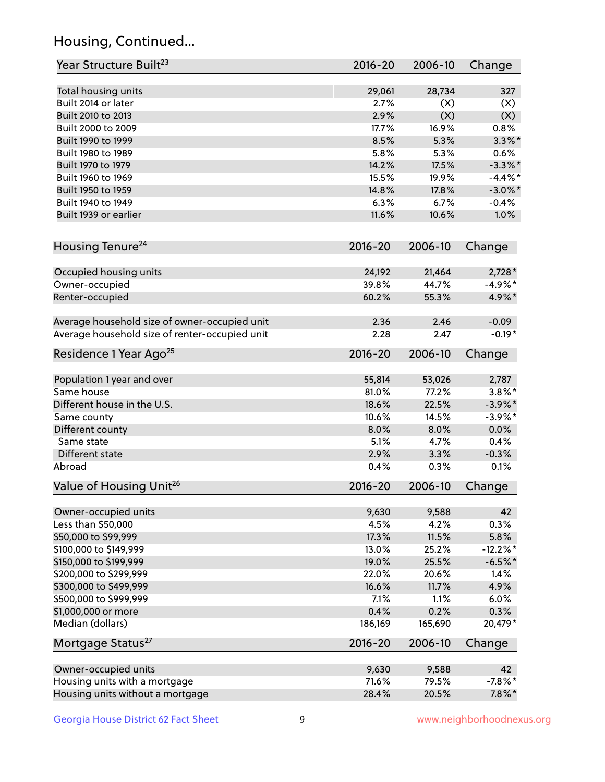## Housing, Continued...

| Year Structure Built <sup>23</sup>             | 2016-20     | 2006-10 | Change      |
|------------------------------------------------|-------------|---------|-------------|
| Total housing units                            | 29,061      | 28,734  | 327         |
| Built 2014 or later                            | 2.7%        | (X)     | (X)         |
| Built 2010 to 2013                             | 2.9%        | (X)     | (X)         |
| Built 2000 to 2009                             | 17.7%       | 16.9%   | 0.8%        |
| Built 1990 to 1999                             | 8.5%        | 5.3%    | $3.3\%$ *   |
| Built 1980 to 1989                             | 5.8%        | 5.3%    | 0.6%        |
| Built 1970 to 1979                             | 14.2%       | 17.5%   | $-3.3\%$ *  |
| Built 1960 to 1969                             | 15.5%       | 19.9%   | $-4.4%$     |
| Built 1950 to 1959                             | 14.8%       | 17.8%   | $-3.0\%$ *  |
| Built 1940 to 1949                             | 6.3%        | 6.7%    | $-0.4%$     |
| Built 1939 or earlier                          | 11.6%       | 10.6%   | 1.0%        |
| Housing Tenure <sup>24</sup>                   | $2016 - 20$ | 2006-10 | Change      |
|                                                |             |         |             |
| Occupied housing units                         | 24,192      | 21,464  | $2,728*$    |
| Owner-occupied                                 | 39.8%       | 44.7%   | $-4.9\%$ *  |
| Renter-occupied                                | 60.2%       | 55.3%   | 4.9%*       |
| Average household size of owner-occupied unit  | 2.36        | 2.46    | $-0.09$     |
| Average household size of renter-occupied unit | 2.28        | 2.47    | $-0.19*$    |
| Residence 1 Year Ago <sup>25</sup>             | $2016 - 20$ | 2006-10 | Change      |
| Population 1 year and over                     | 55,814      | 53,026  | 2,787       |
| Same house                                     | 81.0%       | 77.2%   | $3.8\%$ *   |
| Different house in the U.S.                    | 18.6%       | 22.5%   | $-3.9\%$ *  |
| Same county                                    | 10.6%       | 14.5%   | $-3.9\%$ *  |
| Different county                               | 8.0%        | 8.0%    | 0.0%        |
| Same state                                     | 5.1%        | 4.7%    | 0.4%        |
| Different state                                | 2.9%        | 3.3%    | $-0.3%$     |
| Abroad                                         | 0.4%        | 0.3%    | 0.1%        |
| Value of Housing Unit <sup>26</sup>            | $2016 - 20$ | 2006-10 | Change      |
|                                                |             |         |             |
| Owner-occupied units                           | 9,630       | 9,588   | 42          |
| Less than \$50,000                             | 4.5%        | 4.2%    | 0.3%        |
| \$50,000 to \$99,999                           | 17.3%       | 11.5%   | 5.8%        |
| \$100,000 to \$149,999                         | 13.0%       | 25.2%   | $-12.2\%$ * |
| \$150,000 to \$199,999                         | 19.0%       | 25.5%   | $-6.5%$ *   |
| \$200,000 to \$299,999                         | 22.0%       | 20.6%   | 1.4%        |
| \$300,000 to \$499,999                         | 16.6%       | 11.7%   | 4.9%        |
| \$500,000 to \$999,999                         | 7.1%        | 1.1%    | 6.0%        |
| \$1,000,000 or more                            | 0.4%        | 0.2%    | 0.3%        |
| Median (dollars)                               | 186,169     | 165,690 | 20,479*     |
| Mortgage Status <sup>27</sup>                  | $2016 - 20$ | 2006-10 | Change      |
| Owner-occupied units                           | 9,630       | 9,588   | 42          |
| Housing units with a mortgage                  | 71.6%       | 79.5%   | $-7.8\%$ *  |
| Housing units without a mortgage               | 28.4%       | 20.5%   | $7.8\%$ *   |
|                                                |             |         |             |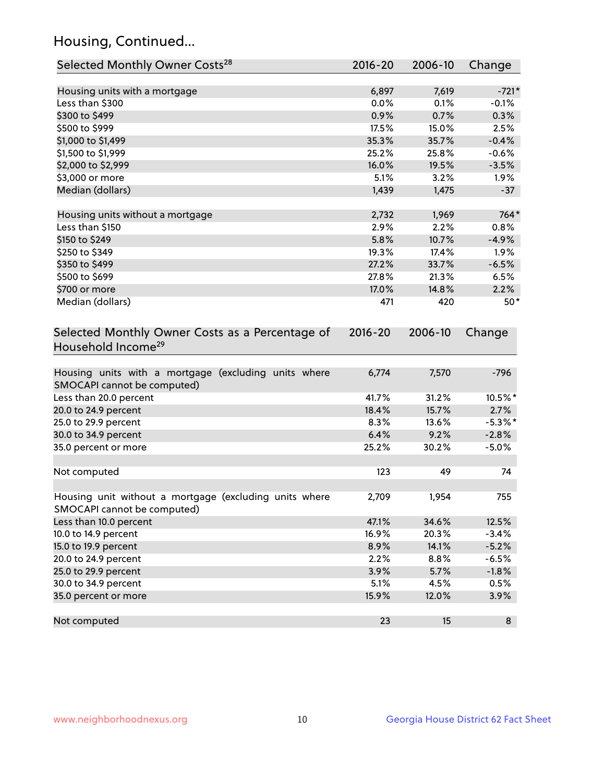## Housing, Continued...

| Selected Monthly Owner Costs <sup>28</sup>                                                                                                | 2016-20              | 2006-10 | Change           |
|-------------------------------------------------------------------------------------------------------------------------------------------|----------------------|---------|------------------|
| Housing units with a mortgage                                                                                                             | 6,897                | 7,619   | $-721*$          |
| Less than \$300                                                                                                                           | 0.0%                 | 0.1%    | $-0.1%$          |
| \$300 to \$499                                                                                                                            | 0.9%                 | 0.7%    | 0.3%             |
| \$500 to \$999                                                                                                                            | 17.5%                | 15.0%   | 2.5%             |
| \$1,000 to \$1,499                                                                                                                        | 35.3%                | 35.7%   | $-0.4%$          |
| \$1,500 to \$1,999                                                                                                                        | 25.2%                | 25.8%   | $-0.6%$          |
| \$2,000 to \$2,999                                                                                                                        | 16.0%                | 19.5%   | $-3.5%$          |
| \$3,000 or more                                                                                                                           | 5.1%                 | 3.2%    | 1.9%             |
| Median (dollars)                                                                                                                          | 1,439                | 1,475   | $-37$            |
| Housing units without a mortgage                                                                                                          | 2,732                | 1,969   | 764*             |
| Less than \$150                                                                                                                           | 2.9%                 | 2.2%    | 0.8%             |
| \$150 to \$249                                                                                                                            | 5.8%                 | 10.7%   | $-4.9%$          |
| \$250 to \$349                                                                                                                            | 19.3%                | 17.4%   | 1.9%             |
| \$350 to \$499                                                                                                                            | 27.2%                | 33.7%   | $-6.5%$          |
| \$500 to \$699                                                                                                                            | 27.8%                | 21.3%   | 6.5%             |
| \$700 or more                                                                                                                             | 17.0%                | 14.8%   | 2.2%             |
| Median (dollars)                                                                                                                          | 471                  | 420     | $50*$            |
| Selected Monthly Owner Costs as a Percentage of<br>Household Income <sup>29</sup><br>Housing units with a mortgage (excluding units where | $2016 - 20$<br>6,774 | 7,570   | Change<br>$-796$ |
| SMOCAPI cannot be computed)                                                                                                               |                      |         |                  |
| Less than 20.0 percent                                                                                                                    | 41.7%                | 31.2%   | 10.5%*           |
| 20.0 to 24.9 percent                                                                                                                      | 18.4%                | 15.7%   | 2.7%             |
| 25.0 to 29.9 percent                                                                                                                      | 8.3%                 | 13.6%   | $-5.3\%$ *       |
| 30.0 to 34.9 percent                                                                                                                      | 6.4%                 | 9.2%    | $-2.8%$          |
| 35.0 percent or more                                                                                                                      | 25.2%                | 30.2%   | $-5.0%$          |
| Not computed                                                                                                                              | 123                  | 49      | 74               |
| Housing unit without a mortgage (excluding units where<br>SMOCAPI cannot be computed)                                                     | 2,709                | 1,954   | 755              |
| Less than 10.0 percent                                                                                                                    | 47.1%                | 34.6%   | 12.5%            |
| 10.0 to 14.9 percent                                                                                                                      | 16.9%                | 20.3%   | $-3.4%$          |
| 15.0 to 19.9 percent                                                                                                                      | 8.9%                 | 14.1%   | $-5.2%$          |
| 20.0 to 24.9 percent                                                                                                                      | 2.2%                 | 8.8%    | $-6.5%$          |
| 25.0 to 29.9 percent                                                                                                                      | 3.9%                 | 5.7%    | $-1.8%$          |
| 30.0 to 34.9 percent                                                                                                                      | 5.1%                 | 4.5%    | 0.5%             |
| 35.0 percent or more                                                                                                                      | 15.9%                | 12.0%   | 3.9%             |
| Not computed                                                                                                                              | 23                   | 15      | 8                |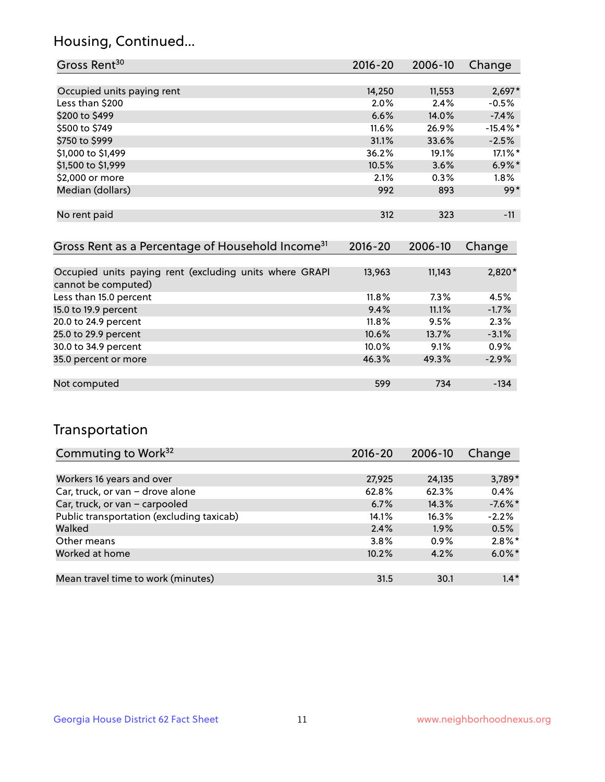## Housing, Continued...

| Gross Rent <sup>30</sup>   | $2016 - 20$ | 2006-10 | Change      |
|----------------------------|-------------|---------|-------------|
|                            |             |         |             |
| Occupied units paying rent | 14,250      | 11,553  | $2,697*$    |
| Less than \$200            | 2.0%        | 2.4%    | $-0.5%$     |
| \$200 to \$499             | 6.6%        | 14.0%   | $-7.4%$     |
| \$500 to \$749             | 11.6%       | 26.9%   | $-15.4\%$ * |
| \$750 to \$999             | 31.1%       | 33.6%   | $-2.5%$     |
| \$1,000 to \$1,499         | 36.2%       | 19.1%   | 17.1%*      |
| \$1,500 to \$1,999         | 10.5%       | 3.6%    | $6.9\%$ *   |
| \$2,000 or more            | 2.1%        | 0.3%    | $1.8\%$     |
| Median (dollars)           | 992         | 893     | $99*$       |
|                            |             |         |             |
| No rent paid               | 312         | 323     | $-11$       |

| Gross Rent as a Percentage of Household Income <sup>31</sup>                   | $2016 - 20$ | 2006-10 | Change  |
|--------------------------------------------------------------------------------|-------------|---------|---------|
|                                                                                |             |         |         |
| Occupied units paying rent (excluding units where GRAPI<br>cannot be computed) | 13,963      | 11,143  | 2,820*  |
| Less than 15.0 percent                                                         | $11.8\%$    | 7.3%    | 4.5%    |
| 15.0 to 19.9 percent                                                           | 9.4%        | 11.1%   | $-1.7%$ |
| 20.0 to 24.9 percent                                                           | $11.8\%$    | 9.5%    | 2.3%    |
| 25.0 to 29.9 percent                                                           | 10.6%       | 13.7%   | $-3.1%$ |
| 30.0 to 34.9 percent                                                           | $10.0\%$    | 9.1%    | 0.9%    |
| 35.0 percent or more                                                           | 46.3%       | 49.3%   | $-2.9%$ |
|                                                                                |             |         |         |
| Not computed                                                                   | 599         | 734     | $-134$  |

## Transportation

| Commuting to Work <sup>32</sup>           | 2016-20 | 2006-10 | Change     |
|-------------------------------------------|---------|---------|------------|
|                                           |         |         |            |
| Workers 16 years and over                 | 27,925  | 24,135  | 3,789*     |
| Car, truck, or van - drove alone          | 62.8%   | 62.3%   | 0.4%       |
| Car, truck, or van - carpooled            | 6.7%    | 14.3%   | $-7.6\%$ * |
| Public transportation (excluding taxicab) | 14.1%   | 16.3%   | $-2.2%$    |
| Walked                                    | 2.4%    | 1.9%    | 0.5%       |
| Other means                               | 3.8%    | $0.9\%$ | $2.8\%$ *  |
| Worked at home                            | 10.2%   | 4.2%    | $6.0\%$ *  |
|                                           |         |         |            |
| Mean travel time to work (minutes)        | 31.5    | 30.1    | $1.4*$     |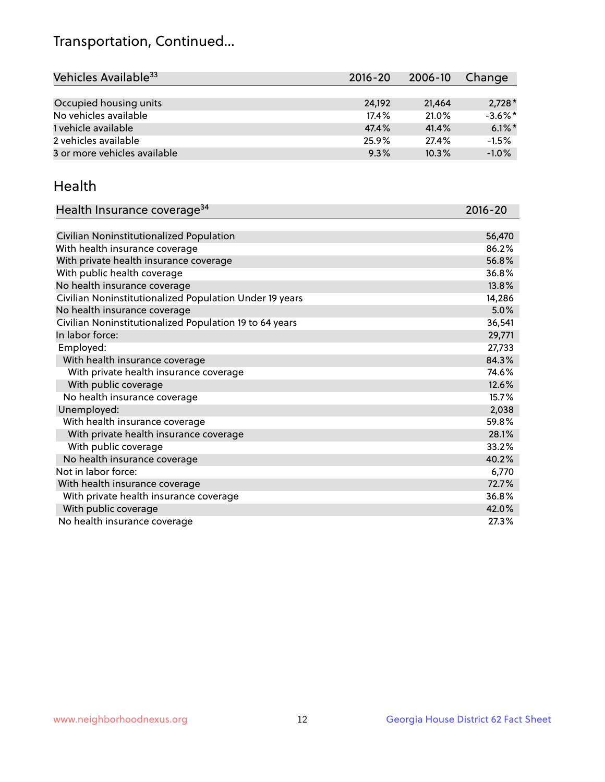## Transportation, Continued...

| Vehicles Available <sup>33</sup> | 2016-20 | 2006-10 | Change     |
|----------------------------------|---------|---------|------------|
|                                  |         |         |            |
| Occupied housing units           | 24.192  | 21.464  | $2,728*$   |
| No vehicles available            | 17.4%   | 21.0%   | $-3.6\%$ * |
| 1 vehicle available              | 47.4%   | 41.4%   | $6.1\%$ *  |
| 2 vehicles available             | 25.9%   | 27.4%   | $-1.5%$    |
| 3 or more vehicles available     | 9.3%    | 10.3%   | $-1.0%$    |

#### Health

| Health Insurance coverage <sup>34</sup>                 | 2016-20 |
|---------------------------------------------------------|---------|
|                                                         |         |
| Civilian Noninstitutionalized Population                | 56,470  |
| With health insurance coverage                          | 86.2%   |
| With private health insurance coverage                  | 56.8%   |
| With public health coverage                             | 36.8%   |
| No health insurance coverage                            | 13.8%   |
| Civilian Noninstitutionalized Population Under 19 years | 14,286  |
| No health insurance coverage                            | 5.0%    |
| Civilian Noninstitutionalized Population 19 to 64 years | 36,541  |
| In labor force:                                         | 29,771  |
| Employed:                                               | 27,733  |
| With health insurance coverage                          | 84.3%   |
| With private health insurance coverage                  | 74.6%   |
| With public coverage                                    | 12.6%   |
| No health insurance coverage                            | 15.7%   |
| Unemployed:                                             | 2,038   |
| With health insurance coverage                          | 59.8%   |
| With private health insurance coverage                  | 28.1%   |
| With public coverage                                    | 33.2%   |
| No health insurance coverage                            | 40.2%   |
| Not in labor force:                                     | 6,770   |
| With health insurance coverage                          | 72.7%   |
| With private health insurance coverage                  | 36.8%   |
| With public coverage                                    | 42.0%   |
| No health insurance coverage                            | 27.3%   |